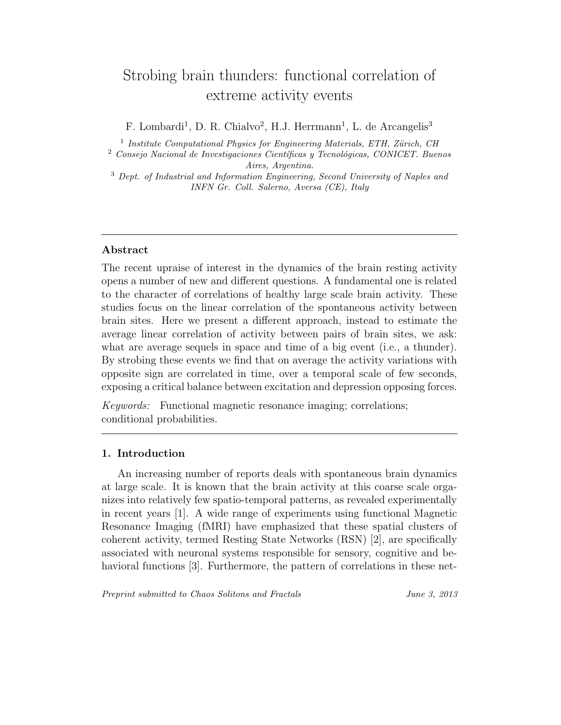# Strobing brain thunders: functional correlation of extreme activity events

F. Lombardi<sup>1</sup>, D. R. Chialvo<sup>2</sup>, H.J. Herrmann<sup>1</sup>, L. de Arcangelis<sup>3</sup>

 $<sup>1</sup>$  Institute Computational Physics for Engineering Materials, ETH, Zürich, CH</sup>

 $2$  Consejo Nacional de Investigaciones Científicas y Tecnológicas, CONICET. Buenos Aires, Argentina.

<sup>3</sup> Dept. of Industrial and Information Engineering, Second University of Naples and INFN Gr. Coll. Salerno, Aversa (CE), Italy

### Abstract

The recent upraise of interest in the dynamics of the brain resting activity opens a number of new and different questions. A fundamental one is related to the character of correlations of healthy large scale brain activity. These studies focus on the linear correlation of the spontaneous activity between brain sites. Here we present a different approach, instead to estimate the average linear correlation of activity between pairs of brain sites, we ask: what are average sequels in space and time of a big event (i.e., a thunder). By strobing these events we find that on average the activity variations with opposite sign are correlated in time, over a temporal scale of few seconds, exposing a critical balance between excitation and depression opposing forces.

Keywords: Functional magnetic resonance imaging; correlations; conditional probabilities.

## 1. Introduction

An increasing number of reports deals with spontaneous brain dynamics at large scale. It is known that the brain activity at this coarse scale organizes into relatively few spatio-temporal patterns, as revealed experimentally in recent years [1]. A wide range of experiments using functional Magnetic Resonance Imaging (fMRI) have emphasized that these spatial clusters of coherent activity, termed Resting State Networks (RSN) [2], are specifically associated with neuronal systems responsible for sensory, cognitive and behavioral functions [3]. Furthermore, the pattern of correlations in these net-

Preprint submitted to Chaos Solitons and Fractals June 3, 2013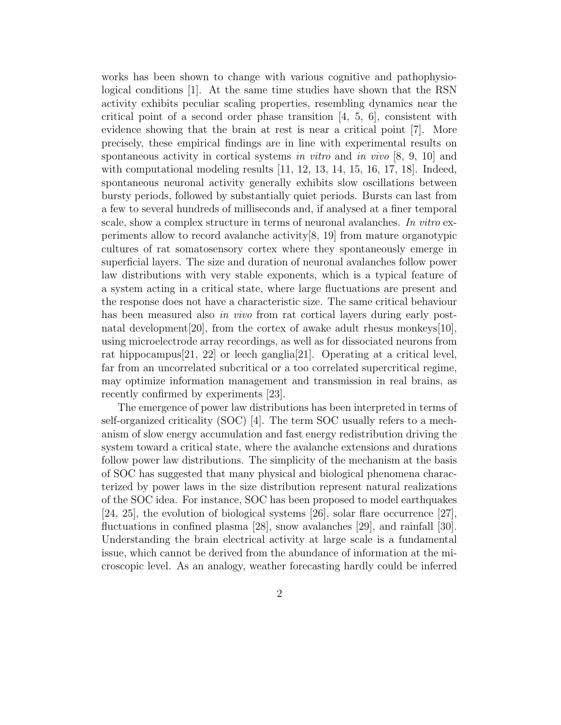works has been shown to change with various cognitive and pathophysiological conditions [1]. At the same time studies have shown that the RSN activity exhibits peculiar scaling properties, resembling dynamics near the critical point of a second order phase transition  $[4, 5, 6]$ , consistent with evidence showing that the brain at rest is near a critical point [7]. More precisely, these empirical findings are in line with experimental results on spontaneous activity in cortical systems in vitro and in vivo  $[8, 9, 10]$  and with computational modeling results [11, 12, 13, 14, 15, 16, 17, 18]. Indeed, spontaneous neuronal activity generally exhibits slow oscillations between bursty periods, followed by substantially quiet periods. Bursts can last from a few to several hundreds of milliseconds and, if analysed at a finer temporal scale, show a complex structure in terms of neuronal avalanches. In vitro experiments allow to record avalanche activity[8, 19] from mature organotypic cultures of rat somatosensory cortex where they spontaneously emerge in superficial layers. The size and duration of neuronal avalanches follow power law distributions with very stable exponents, which is a typical feature of a system acting in a critical state, where large fluctuations are present and the response does not have a characteristic size. The same critical behaviour has been measured also in vivo from rat cortical layers during early postnatal development [20], from the cortex of awake adult rhesus monkeys [10], using microelectrode array recordings, as well as for dissociated neurons from rat hippocampus[21, 22] or leech ganglia[21]. Operating at a critical level, far from an uncorrelated subcritical or a too correlated supercritical regime, may optimize information management and transmission in real brains, as recently confirmed by experiments [23].

The emergence of power law distributions has been interpreted in terms of self-organized criticality (SOC) [4]. The term SOC usually refers to a mechanism of slow energy accumulation and fast energy redistribution driving the system toward a critical state, where the avalanche extensions and durations follow power law distributions. The simplicity of the mechanism at the basis of SOC has suggested that many physical and biological phenomena characterized by power laws in the size distribution represent natural realizations of the SOC idea. For instance, SOC has been proposed to model earthquakes [24, 25], the evolution of biological systems [26], solar flare occurrence [27], fluctuations in confined plasma [28], snow avalanches [29], and rainfall [30]. Understanding the brain electrical activity at large scale is a fundamental issue, which cannot be derived from the abundance of information at the microscopic level. As an analogy, weather forecasting hardly could be inferred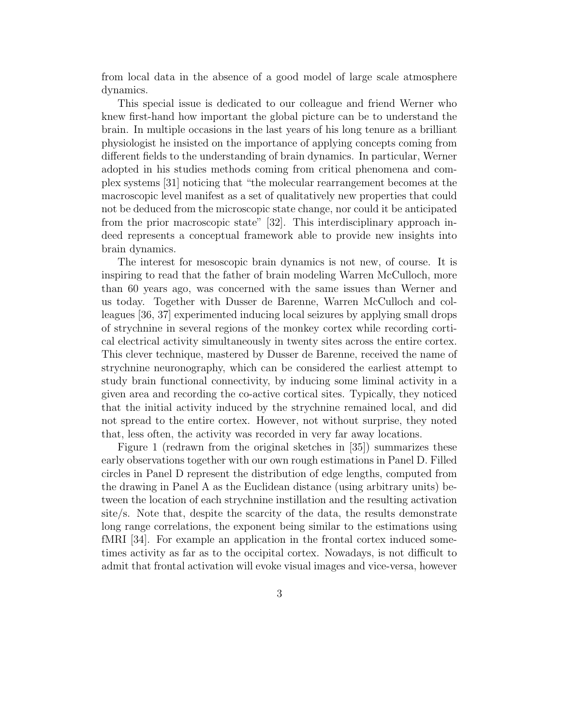from local data in the absence of a good model of large scale atmosphere dynamics.

This special issue is dedicated to our colleague and friend Werner who knew first-hand how important the global picture can be to understand the brain. In multiple occasions in the last years of his long tenure as a brilliant physiologist he insisted on the importance of applying concepts coming from different fields to the understanding of brain dynamics. In particular, Werner adopted in his studies methods coming from critical phenomena and complex systems [31] noticing that "the molecular rearrangement becomes at the macroscopic level manifest as a set of qualitatively new properties that could not be deduced from the microscopic state change, nor could it be anticipated from the prior macroscopic state" [32]. This interdisciplinary approach indeed represents a conceptual framework able to provide new insights into brain dynamics.

The interest for mesoscopic brain dynamics is not new, of course. It is inspiring to read that the father of brain modeling Warren McCulloch, more than 60 years ago, was concerned with the same issues than Werner and us today. Together with Dusser de Barenne, Warren McCulloch and colleagues [36, 37] experimented inducing local seizures by applying small drops of strychnine in several regions of the monkey cortex while recording cortical electrical activity simultaneously in twenty sites across the entire cortex. This clever technique, mastered by Dusser de Barenne, received the name of strychnine neuronography, which can be considered the earliest attempt to study brain functional connectivity, by inducing some liminal activity in a given area and recording the co-active cortical sites. Typically, they noticed that the initial activity induced by the strychnine remained local, and did not spread to the entire cortex. However, not without surprise, they noted that, less often, the activity was recorded in very far away locations.

Figure 1 (redrawn from the original sketches in [35]) summarizes these early observations together with our own rough estimations in Panel D. Filled circles in Panel D represent the distribution of edge lengths, computed from the drawing in Panel A as the Euclidean distance (using arbitrary units) between the location of each strychnine instillation and the resulting activation site/s. Note that, despite the scarcity of the data, the results demonstrate long range correlations, the exponent being similar to the estimations using fMRI [34]. For example an application in the frontal cortex induced sometimes activity as far as to the occipital cortex. Nowadays, is not difficult to admit that frontal activation will evoke visual images and vice-versa, however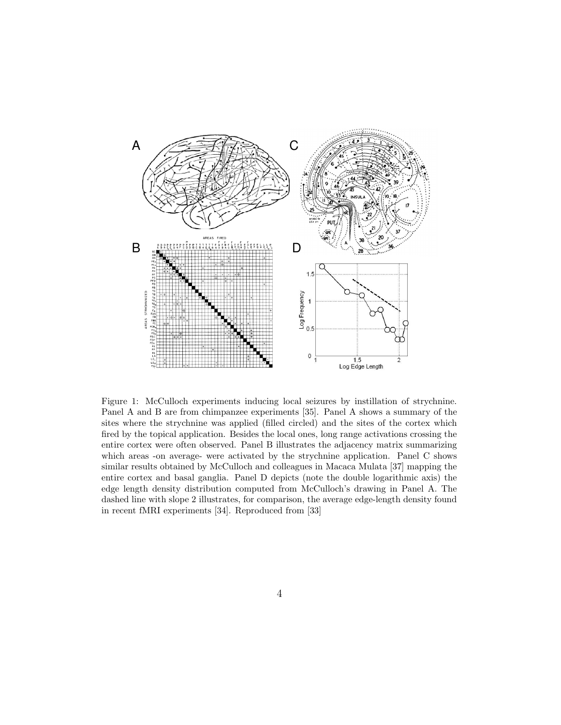

Figure 1: McCulloch experiments inducing local seizures by instillation of strychnine. Panel A and B are from chimpanzee experiments [35]. Panel A shows a summary of the sites where the strychnine was applied (filled circled) and the sites of the cortex which fired by the topical application. Besides the local ones, long range activations crossing the entire cortex were often observed. Panel B illustrates the adjacency matrix summarizing which areas -on average- were activated by the strychnine application. Panel C shows similar results obtained by McCulloch and colleagues in Macaca Mulata [37] mapping the entire cortex and basal ganglia. Panel D depicts (note the double logarithmic axis) the edge length density distribution computed from McCulloch's drawing in Panel A. The dashed line with slope 2 illustrates, for comparison, the average edge-length density found in recent fMRI experiments [34]. Reproduced from [33]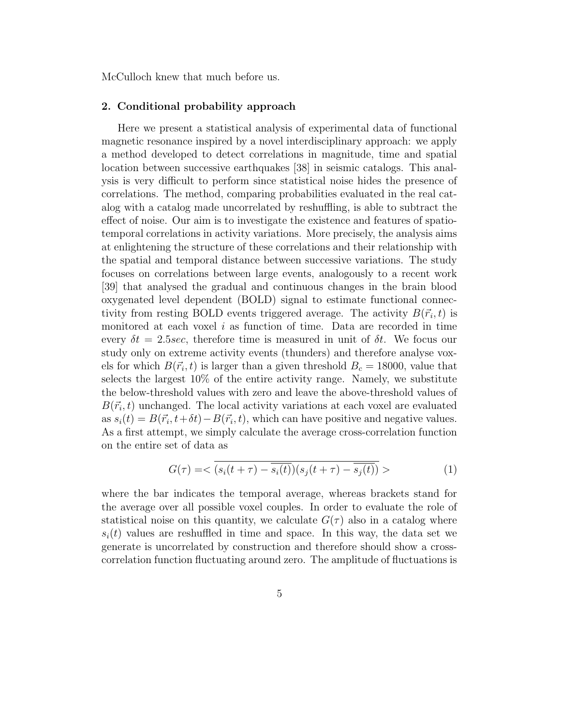McCulloch knew that much before us.

#### 2. Conditional probability approach

Here we present a statistical analysis of experimental data of functional magnetic resonance inspired by a novel interdisciplinary approach: we apply a method developed to detect correlations in magnitude, time and spatial location between successive earthquakes [38] in seismic catalogs. This analysis is very difficult to perform since statistical noise hides the presence of correlations. The method, comparing probabilities evaluated in the real catalog with a catalog made uncorrelated by reshuffling, is able to subtract the effect of noise. Our aim is to investigate the existence and features of spatiotemporal correlations in activity variations. More precisely, the analysis aims at enlightening the structure of these correlations and their relationship with the spatial and temporal distance between successive variations. The study focuses on correlations between large events, analogously to a recent work [39] that analysed the gradual and continuous changes in the brain blood oxygenated level dependent (BOLD) signal to estimate functional connectivity from resting BOLD events triggered average. The activity  $B(\vec{r}_i,t)$  is monitored at each voxel  $i$  as function of time. Data are recorded in time every  $\delta t = 2.5$ sec, therefore time is measured in unit of  $\delta t$ . We focus our study only on extreme activity events (thunders) and therefore analyse voxels for which  $B(\vec{r_i}, t)$  is larger than a given threshold  $B_c = 18000$ , value that selects the largest 10% of the entire activity range. Namely, we substitute the below-threshold values with zero and leave the above-threshold values of  $B(\vec{r}_i,t)$  unchanged. The local activity variations at each voxel are evaluated as  $s_i(t) = B(\vec{r}_i, t + \delta t) - B(\vec{r}_i, t)$ , which can have positive and negative values. As a first attempt, we simply calculate the average cross-correlation function on the entire set of data as

$$
G(\tau) = \langle \overline{(s_i(t+\tau) - \overline{s_i(t)}) (s_j(t+\tau) - \overline{s_j(t)})} \rangle \tag{1}
$$

where the bar indicates the temporal average, whereas brackets stand for the average over all possible voxel couples. In order to evaluate the role of statistical noise on this quantity, we calculate  $G(\tau)$  also in a catalog where  $s_i(t)$  values are reshuffled in time and space. In this way, the data set we generate is uncorrelated by construction and therefore should show a crosscorrelation function fluctuating around zero. The amplitude of fluctuations is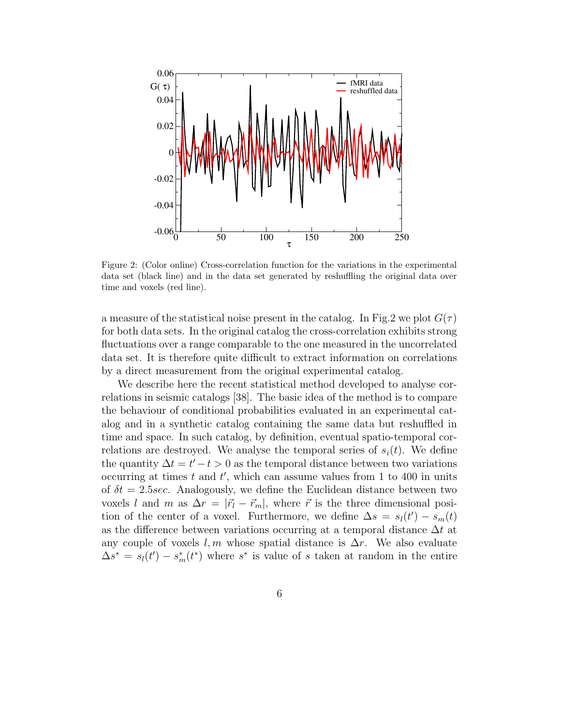

Figure 2: (Color online) Cross-correlation function for the variations in the experimental data set (black line) and in the data set generated by reshuffling the original data over time and voxels (red line).

a measure of the statistical noise present in the catalog. In Fig.2 we plot  $G(\tau)$ for both data sets. In the original catalog the cross-correlation exhibits strong fluctuations over a range comparable to the one measured in the uncorrelated data set. It is therefore quite difficult to extract information on correlations by a direct measurement from the original experimental catalog.

We describe here the recent statistical method developed to analyse correlations in seismic catalogs [38]. The basic idea of the method is to compare the behaviour of conditional probabilities evaluated in an experimental catalog and in a synthetic catalog containing the same data but reshuffled in time and space. In such catalog, by definition, eventual spatio-temporal correlations are destroyed. We analyse the temporal series of  $s_i(t)$ . We define the quantity  $\Delta t = t' - t > 0$  as the temporal distance between two variations occurring at times  $t$  and  $t'$ , which can assume values from 1 to 400 in units of  $\delta t = 2.5$  sec. Analogously, we define the Euclidean distance between two voxels l and m as  $\Delta r = |\vec{r}_l - \vec{r}_m|$ , where  $\vec{r}$  is the three dimensional position of the center of a voxel. Furthermore, we define  $\Delta s = s_l(t') - s_m(t)$ as the difference between variations occurring at a temporal distance  $\Delta t$  at any couple of voxels l, m whose spatial distance is  $\Delta r$ . We also evaluate  $\Delta s^* = s_l(t') - s_m^*(t^*)$  where  $s^*$  is value of s taken at random in the entire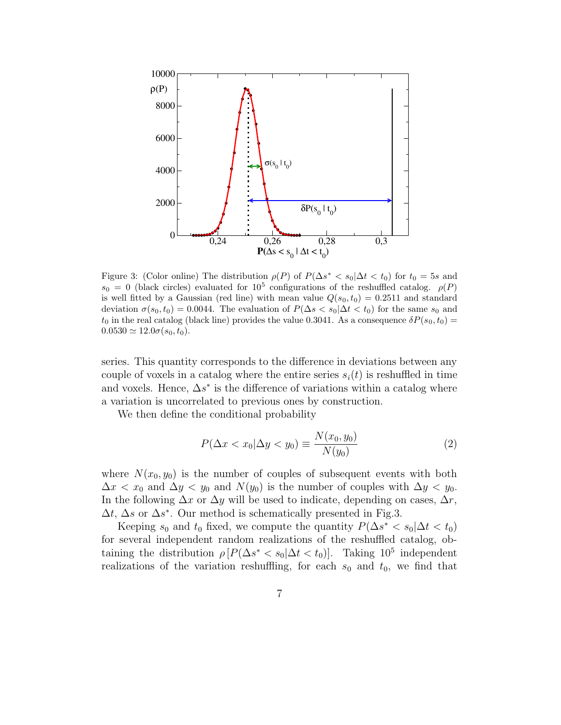

Figure 3: (Color online) The distribution  $\rho(P)$  of  $P(\Delta s^* < s_0 | \Delta t < t_0)$  for  $t_0 = 5s$  and  $s_0 = 0$  (black circles) evaluated for  $10^5$  configurations of the reshuffled catalog.  $\rho(P)$ is well fitted by a Gaussian (red line) with mean value  $Q(s_0,t_0) = 0.2511$  and standard deviation  $\sigma(s_0,t_0) = 0.0044$ . The evaluation of  $P(\Delta s < s_0 | \Delta t < t_0)$  for the same  $s_0$  and  $t_0$  in the real catalog (black line) provides the value 0.3041. As a consequence  $\delta P(s_0,t_0)$  =  $0.0530 \simeq 12.0\sigma(s_0,t_0).$ 

series. This quantity corresponds to the difference in deviations between any couple of voxels in a catalog where the entire series  $s_i(t)$  is reshuffled in time and voxels. Hence,  $\Delta s^*$  is the difference of variations within a catalog where a variation is uncorrelated to previous ones by construction.

We then define the conditional probability

$$
P(\Delta x < x_0 | \Delta y < y_0) \equiv \frac{N(x_0, y_0)}{N(y_0)}\tag{2}
$$

where  $N(x_0, y_0)$  is the number of couples of subsequent events with both  $\Delta x < x_0$  and  $\Delta y < y_0$  and  $N(y_0)$  is the number of couples with  $\Delta y < y_0$ . In the following  $\Delta x$  or  $\Delta y$  will be used to indicate, depending on cases,  $\Delta r$ ,  $\Delta t$ ,  $\Delta s$  or  $\Delta s^*$ . Our method is schematically presented in Fig.3.

Keeping  $s_0$  and  $t_0$  fixed, we compute the quantity  $P(\Delta s^* < s_0 | \Delta t < t_0)$ for several independent random realizations of the reshuffled catalog, obtaining the distribution  $\rho [P(\Delta s^* < s_0 | \Delta t < t_0)]$ . Taking 10<sup>5</sup> independent realizations of the variation reshuffling, for each  $s_0$  and  $t_0$ , we find that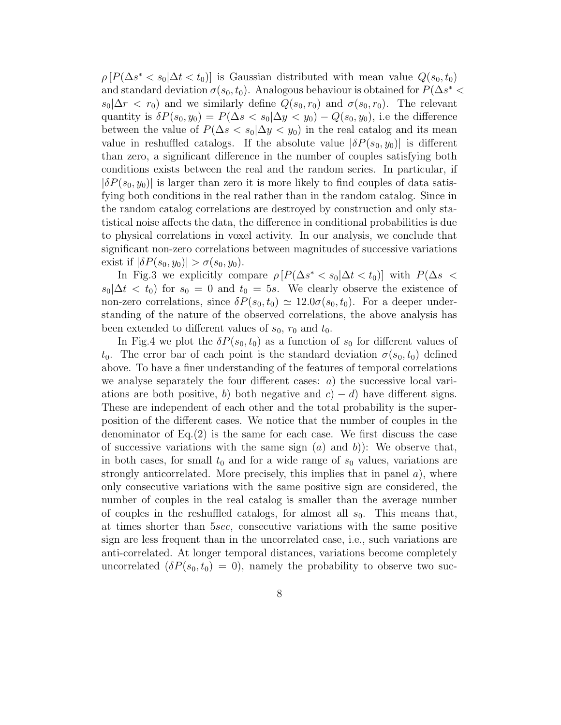$\rho\left[P(\Delta s^* < s_0 | \Delta t < t_0)\right]$  is Gaussian distributed with mean value  $Q(s_0, t_0)$ and standard deviation  $\sigma(s_0, t_0)$ . Analogous behaviour is obtained for  $P(\Delta s^* <$  $s_0|\Delta r < r_0$ ) and we similarly define  $Q(s_0, r_0)$  and  $\sigma(s_0, r_0)$ . The relevant quantity is  $\delta P(s_0, y_0) = P(\Delta s < s_0 | \Delta y < y_0) - Q(s_0, y_0)$ , i.e the difference between the value of  $P(\Delta s < s_0 | \Delta y < y_0)$  in the real catalog and its mean value in reshuffled catalogs. If the absolute value  $|\delta P(s_0, y_0)|$  is different than zero, a significant difference in the number of couples satisfying both conditions exists between the real and the random series. In particular, if  $|\delta P(s_0, y_0)|$  is larger than zero it is more likely to find couples of data satisfying both conditions in the real rather than in the random catalog. Since in the random catalog correlations are destroyed by construction and only statistical noise affects the data, the difference in conditional probabilities is due to physical correlations in voxel activity. In our analysis, we conclude that significant non-zero correlations between magnitudes of successive variations exist if  $|\delta P(s_0, y_0)| > \sigma(s_0, y_0)$ .

In Fig.3 we explicitly compare  $\rho \left[ P(\Delta s^* < s_0 | \Delta t < t_0) \right]$  with  $P(\Delta s <$  $s_0|\Delta t < t_0$  for  $s_0 = 0$  and  $t_0 = 5s$ . We clearly observe the existence of non-zero correlations, since  $\delta P(s_0,t_0) \simeq 12.0\sigma(s_0,t_0)$ . For a deeper understanding of the nature of the observed correlations, the above analysis has been extended to different values of  $s_0$ ,  $r_0$  and  $t_0$ .

In Fig.4 we plot the  $\delta P(s_0,t_0)$  as a function of  $s_0$  for different values of t<sub>0</sub>. The error bar of each point is the standard deviation  $\sigma(s_0,t_0)$  defined above. To have a finer understanding of the features of temporal correlations we analyse separately the four different cases:  $a$ ) the successive local variations are both positive, b) both negative and  $c$  – d) have different signs. These are independent of each other and the total probability is the superposition of the different cases. We notice that the number of couples in the denominator of  $Eq.(2)$  is the same for each case. We first discuss the case of successive variations with the same sign  $(a)$  and  $b)$ ): We observe that, in both cases, for small  $t_0$  and for a wide range of  $s_0$  values, variations are strongly anticorrelated. More precisely, this implies that in panel  $a$ ), where only consecutive variations with the same positive sign are considered, the number of couples in the real catalog is smaller than the average number of couples in the reshuffled catalogs, for almost all  $s_0$ . This means that, at times shorter than 5sec, consecutive variations with the same positive sign are less frequent than in the uncorrelated case, i.e., such variations are anti-correlated. At longer temporal distances, variations become completely uncorrelated  $(\delta P(s_0,t_0) = 0)$ , namely the probability to observe two suc-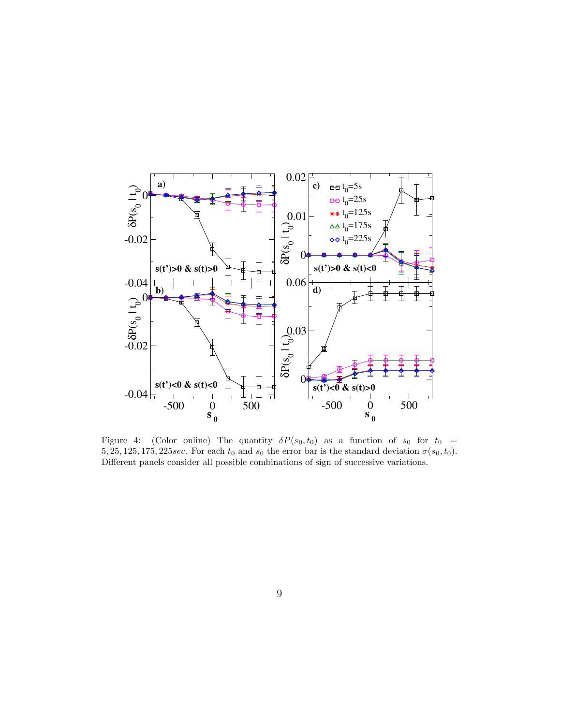

Figure 4: (Color online) The quantity  $\delta P(s_0,t_0)$  as a function of  $s_0$  for  $t_0 =$ 5, 25, 125, 175, 225 sec. For each  $t_0$  and  $s_0$  the error bar is the standard deviation  $\sigma(s_0,t_0)$ . Different panels consider all possible combinations of sign of successive variations.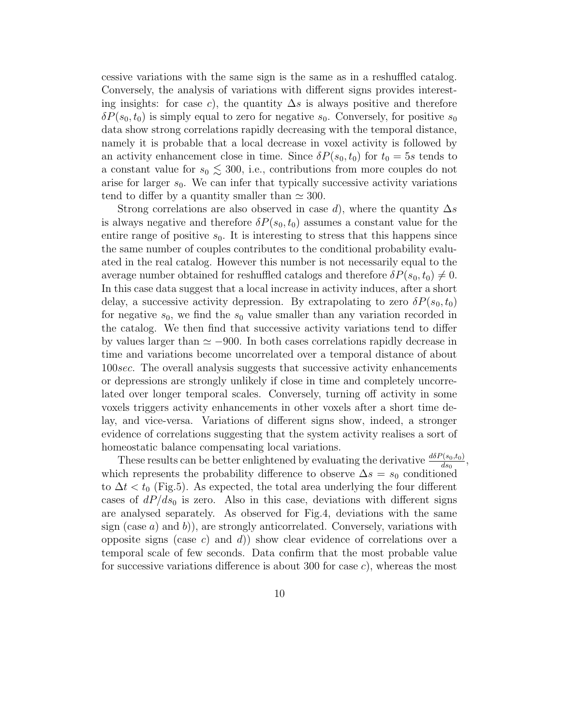cessive variations with the same sign is the same as in a reshuffled catalog. Conversely, the analysis of variations with different signs provides interesting insights: for case c), the quantity  $\Delta s$  is always positive and therefore  $\delta P(s_0,t_0)$  is simply equal to zero for negative  $s_0$ . Conversely, for positive  $s_0$ data show strong correlations rapidly decreasing with the temporal distance, namely it is probable that a local decrease in voxel activity is followed by an activity enhancement close in time. Since  $\delta P(s_0,t_0)$  for  $t_0 = 5s$  tends to a constant value for  $s_0 \lesssim 300$ , i.e., contributions from more couples do not arise for larger  $s_0$ . We can infer that typically successive activity variations tend to differ by a quantity smaller than  $\simeq 300$ .

Strong correlations are also observed in case d), where the quantity  $\Delta s$ is always negative and therefore  $\delta P(s_0,t_0)$  assumes a constant value for the entire range of positive  $s_0$ . It is interesting to stress that this happens since the same number of couples contributes to the conditional probability evaluated in the real catalog. However this number is not necessarily equal to the average number obtained for reshuffled catalogs and therefore  $\delta P(s_0,t_0) \neq 0$ . In this case data suggest that a local increase in activity induces, after a short delay, a successive activity depression. By extrapolating to zero  $\delta P(s_0,t_0)$ for negative  $s_0$ , we find the  $s_0$  value smaller than any variation recorded in the catalog. We then find that successive activity variations tend to differ by values larger than  $\simeq -900$ . In both cases correlations rapidly decrease in time and variations become uncorrelated over a temporal distance of about 100sec. The overall analysis suggests that successive activity enhancements or depressions are strongly unlikely if close in time and completely uncorrelated over longer temporal scales. Conversely, turning off activity in some voxels triggers activity enhancements in other voxels after a short time delay, and vice-versa. Variations of different signs show, indeed, a stronger evidence of correlations suggesting that the system activity realises a sort of homeostatic balance compensating local variations.

These results can be better enlightened by evaluating the derivative  $\frac{d\delta P(s_0,t_0)}{ds_0}$  $rac{(s_0,t_0)}{ds_0},$ which represents the probability difference to observe  $\Delta s = s_0$  conditioned to  $\Delta t < t_0$  (Fig.5). As expected, the total area underlying the four different cases of  $dP/ds_0$  is zero. Also in this case, deviations with different signs are analysed separately. As observed for Fig.4, deviations with the same sign (case  $a$ ) and  $b$ )), are strongly anticorrelated. Conversely, variations with opposite signs (case c) and d)) show clear evidence of correlations over a temporal scale of few seconds. Data confirm that the most probable value for successive variations difference is about 300 for case  $c$ ), whereas the most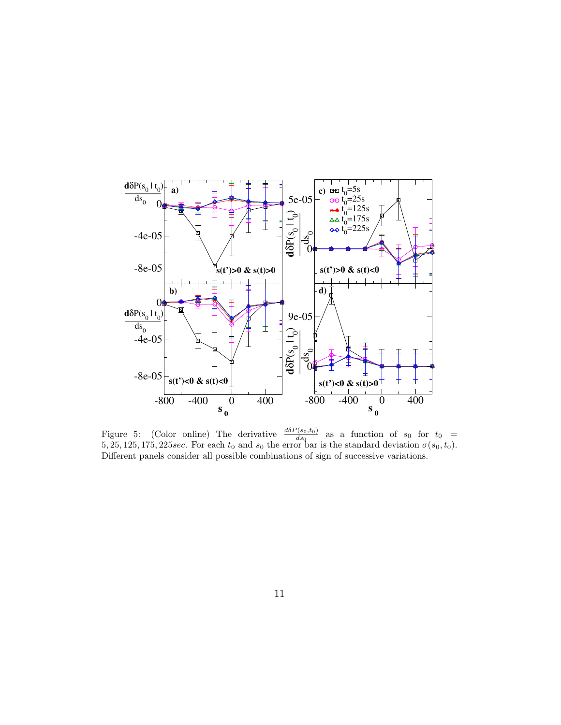

Figure 5: (Color online) The derivative  $\frac{d\delta P(s_0,t_0)}{ds_0}$  $\frac{d(s_0,t_0)}{ds_0}$  as a function of  $s_0$  for  $t_0 =$ 5, 25, 125, 175, 225 sec. For each  $t_0$  and  $s_0$  the error bar is the standard deviation  $\sigma(s_0,t_0)$ . Different panels consider all possible combinations of sign of successive variations.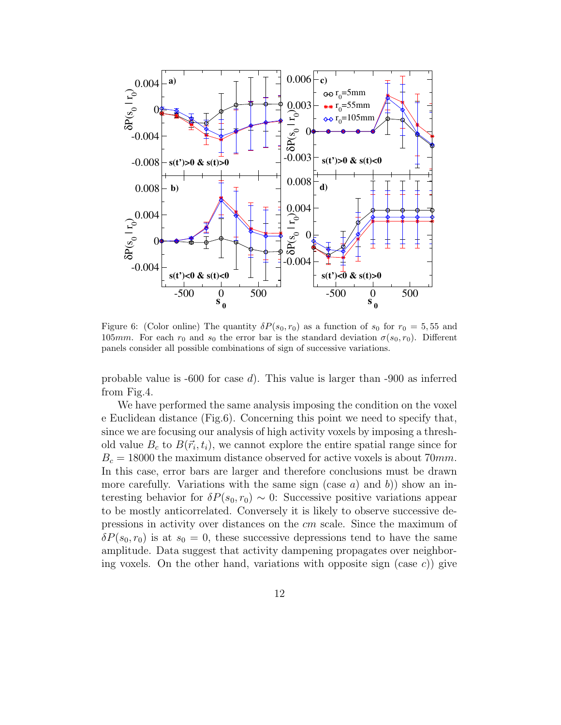

Figure 6: (Color online) The quantity  $\delta P(s_0, r_0)$  as a function of  $s_0$  for  $r_0 = 5, 55$  and 105mm. For each  $r_0$  and  $s_0$  the error bar is the standard deviation  $\sigma(s_0, r_0)$ . Different panels consider all possible combinations of sign of successive variations.

probable value is  $-600$  for case d). This value is larger than  $-900$  as inferred from Fig.4.

We have performed the same analysis imposing the condition on the voxel e Euclidean distance (Fig.6). Concerning this point we need to specify that, since we are focusing our analysis of high activity voxels by imposing a threshold value  $B_c$  to  $B(\vec{r}_i, t_i)$ , we cannot explore the entire spatial range since for  $B_c = 18000$  the maximum distance observed for active voxels is about 70mm. In this case, error bars are larger and therefore conclusions must be drawn more carefully. Variations with the same sign (case a) and b) show an interesting behavior for  $\delta P(s_0, r_0) \sim 0$ : Successive positive variations appear to be mostly anticorrelated. Conversely it is likely to observe successive depressions in activity over distances on the cm scale. Since the maximum of  $\delta P(s_0, r_0)$  is at  $s_0 = 0$ , these successive depressions tend to have the same amplitude. Data suggest that activity dampening propagates over neighboring voxels. On the other hand, variations with opposite sign (case  $c$ )) give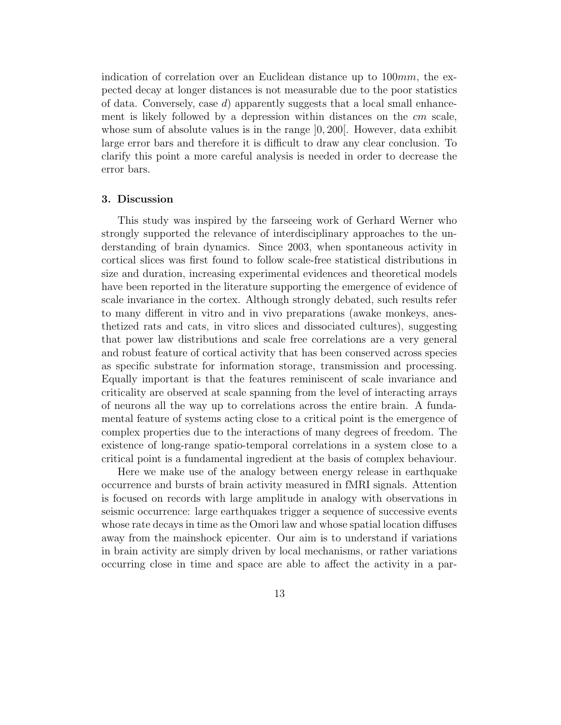indication of correlation over an Euclidean distance up to 100mm, the expected decay at longer distances is not measurable due to the poor statistics of data. Conversely, case  $d$ ) apparently suggests that a local small enhancement is likely followed by a depression within distances on the cm scale, whose sum of absolute values is in the range  $[0, 200]$ . However, data exhibit large error bars and therefore it is difficult to draw any clear conclusion. To clarify this point a more careful analysis is needed in order to decrease the error bars.

#### 3. Discussion

This study was inspired by the farseeing work of Gerhard Werner who strongly supported the relevance of interdisciplinary approaches to the understanding of brain dynamics. Since 2003, when spontaneous activity in cortical slices was first found to follow scale-free statistical distributions in size and duration, increasing experimental evidences and theoretical models have been reported in the literature supporting the emergence of evidence of scale invariance in the cortex. Although strongly debated, such results refer to many different in vitro and in vivo preparations (awake monkeys, anesthetized rats and cats, in vitro slices and dissociated cultures), suggesting that power law distributions and scale free correlations are a very general and robust feature of cortical activity that has been conserved across species as specific substrate for information storage, transmission and processing. Equally important is that the features reminiscent of scale invariance and criticality are observed at scale spanning from the level of interacting arrays of neurons all the way up to correlations across the entire brain. A fundamental feature of systems acting close to a critical point is the emergence of complex properties due to the interactions of many degrees of freedom. The existence of long-range spatio-temporal correlations in a system close to a critical point is a fundamental ingredient at the basis of complex behaviour.

Here we make use of the analogy between energy release in earthquake occurrence and bursts of brain activity measured in fMRI signals. Attention is focused on records with large amplitude in analogy with observations in seismic occurrence: large earthquakes trigger a sequence of successive events whose rate decays in time as the Omori law and whose spatial location diffuses away from the mainshock epicenter. Our aim is to understand if variations in brain activity are simply driven by local mechanisms, or rather variations occurring close in time and space are able to affect the activity in a par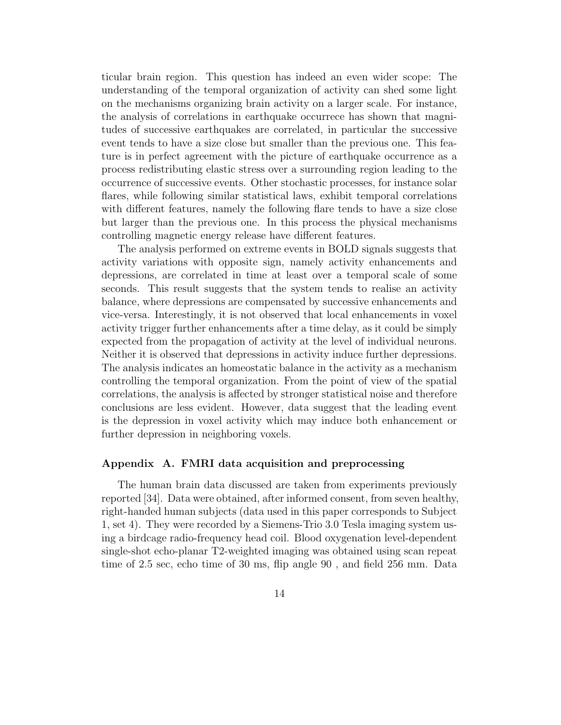ticular brain region. This question has indeed an even wider scope: The understanding of the temporal organization of activity can shed some light on the mechanisms organizing brain activity on a larger scale. For instance, the analysis of correlations in earthquake occurrece has shown that magnitudes of successive earthquakes are correlated, in particular the successive event tends to have a size close but smaller than the previous one. This feature is in perfect agreement with the picture of earthquake occurrence as a process redistributing elastic stress over a surrounding region leading to the occurrence of successive events. Other stochastic processes, for instance solar flares, while following similar statistical laws, exhibit temporal correlations with different features, namely the following flare tends to have a size close but larger than the previous one. In this process the physical mechanisms controlling magnetic energy release have different features.

The analysis performed on extreme events in BOLD signals suggests that activity variations with opposite sign, namely activity enhancements and depressions, are correlated in time at least over a temporal scale of some seconds. This result suggests that the system tends to realise an activity balance, where depressions are compensated by successive enhancements and vice-versa. Interestingly, it is not observed that local enhancements in voxel activity trigger further enhancements after a time delay, as it could be simply expected from the propagation of activity at the level of individual neurons. Neither it is observed that depressions in activity induce further depressions. The analysis indicates an homeostatic balance in the activity as a mechanism controlling the temporal organization. From the point of view of the spatial correlations, the analysis is affected by stronger statistical noise and therefore conclusions are less evident. However, data suggest that the leading event is the depression in voxel activity which may induce both enhancement or further depression in neighboring voxels.

#### Appendix A. FMRI data acquisition and preprocessing

The human brain data discussed are taken from experiments previously reported [34]. Data were obtained, after informed consent, from seven healthy, right-handed human subjects (data used in this paper corresponds to Subject 1, set 4). They were recorded by a Siemens-Trio 3.0 Tesla imaging system using a birdcage radio-frequency head coil. Blood oxygenation level-dependent single-shot echo-planar T2-weighted imaging was obtained using scan repeat time of 2.5 sec, echo time of 30 ms, flip angle 90 , and field 256 mm. Data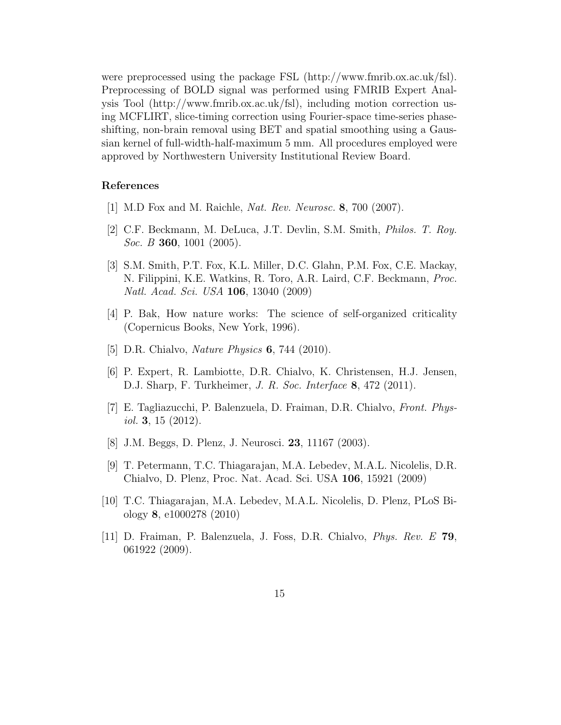were preprocessed using the package FSL (http://www.fmrib.ox.ac.uk/fsl). Preprocessing of BOLD signal was performed using FMRIB Expert Analysis Tool (http://www.fmrib.ox.ac.uk/fsl), including motion correction using MCFLIRT, slice-timing correction using Fourier-space time-series phaseshifting, non-brain removal using BET and spatial smoothing using a Gaussian kernel of full-width-half-maximum 5 mm. All procedures employed were approved by Northwestern University Institutional Review Board.

#### References

- [1] M.D Fox and M. Raichle, Nat. Rev. Neurosc. 8, 700 (2007).
- [2] C.F. Beckmann, M. DeLuca, J.T. Devlin, S.M. Smith, Philos. T. Roy. Soc. B **360**, 1001 (2005).
- [3] S.M. Smith, P.T. Fox, K.L. Miller, D.C. Glahn, P.M. Fox, C.E. Mackay, N. Filippini, K.E. Watkins, R. Toro, A.R. Laird, C.F. Beckmann, Proc. Natl. Acad. Sci. USA 106, 13040 (2009)
- [4] P. Bak, How nature works: The science of self-organized criticality (Copernicus Books, New York, 1996).
- [5] D.R. Chialvo, *Nature Physics* **6**, 744 (2010).
- [6] P. Expert, R. Lambiotte, D.R. Chialvo, K. Christensen, H.J. Jensen, D.J. Sharp, F. Turkheimer, J. R. Soc. Interface 8, 472 (2011).
- [7] E. Tagliazucchi, P. Balenzuela, D. Fraiman, D.R. Chialvo, Front. Physiol. 3, 15  $(2012)$ .
- [8] J.M. Beggs, D. Plenz, J. Neurosci. 23, 11167 (2003).
- [9] T. Petermann, T.C. Thiagarajan, M.A. Lebedev, M.A.L. Nicolelis, D.R. Chialvo, D. Plenz, Proc. Nat. Acad. Sci. USA 106, 15921 (2009)
- [10] T.C. Thiagarajan, M.A. Lebedev, M.A.L. Nicolelis, D. Plenz, PLoS Biology 8, e1000278 (2010)
- [11] D. Fraiman, P. Balenzuela, J. Foss, D.R. Chialvo, Phys. Rev. E 79, 061922 (2009).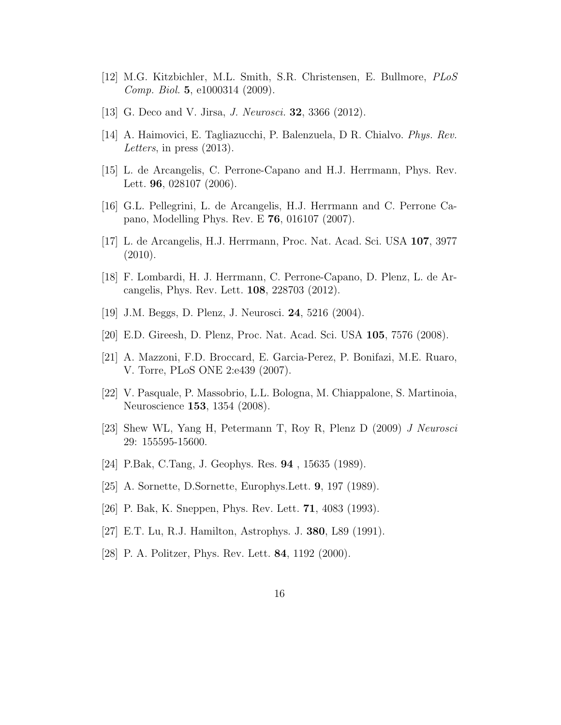- [12] M.G. Kitzbichler, M.L. Smith, S.R. Christensen, E. Bullmore, PLoS Comp. Biol. 5, e1000314 (2009).
- [13] G. Deco and V. Jirsa, *J. Neurosci*. **32**, 3366 (2012).
- [14] A. Haimovici, E. Tagliazucchi, P. Balenzuela, D R. Chialvo. Phys. Rev. Letters, in press (2013).
- [15] L. de Arcangelis, C. Perrone-Capano and H.J. Herrmann, Phys. Rev. Lett. **96**, 028107 (2006).
- [16] G.L. Pellegrini, L. de Arcangelis, H.J. Herrmann and C. Perrone Capano, Modelling Phys. Rev. E 76, 016107 (2007).
- [17] L. de Arcangelis, H.J. Herrmann, Proc. Nat. Acad. Sci. USA 107, 3977 (2010).
- [18] F. Lombardi, H. J. Herrmann, C. Perrone-Capano, D. Plenz, L. de Arcangelis, Phys. Rev. Lett. 108, 228703 (2012).
- [19] J.M. Beggs, D. Plenz, J. Neurosci. 24, 5216 (2004).
- [20] E.D. Gireesh, D. Plenz, Proc. Nat. Acad. Sci. USA 105, 7576 (2008).
- [21] A. Mazzoni, F.D. Broccard, E. Garcia-Perez, P. Bonifazi, M.E. Ruaro, V. Torre, PLoS ONE 2:e439 (2007).
- [22] V. Pasquale, P. Massobrio, L.L. Bologna, M. Chiappalone, S. Martinoia, Neuroscience 153, 1354 (2008).
- [23] Shew WL, Yang H, Petermann T, Roy R, Plenz D (2009) J Neurosci 29: 155595-15600.
- [24] P.Bak, C.Tang, J. Geophys. Res. 94 , 15635 (1989).
- [25] A. Sornette, D.Sornette, Europhys.Lett. 9, 197 (1989).
- [26] P. Bak, K. Sneppen, Phys. Rev. Lett. 71, 4083 (1993).
- [27] E.T. Lu, R.J. Hamilton, Astrophys. J. 380, L89 (1991).
- [28] P. A. Politzer, Phys. Rev. Lett. 84, 1192 (2000).